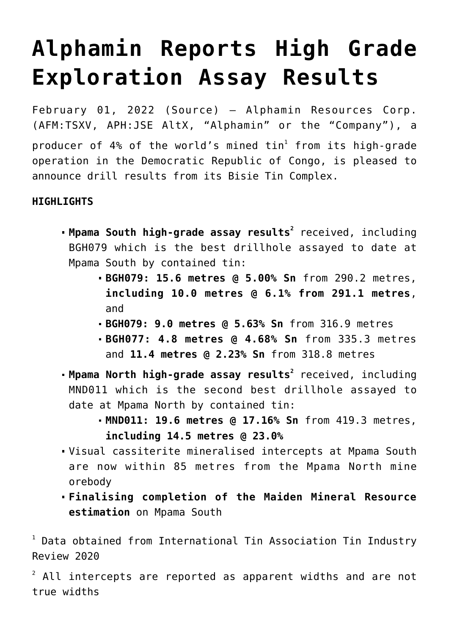# **[Alphamin Reports High Grade](https://investorintel.com/markets/technology-metals/technology-metals-news/alphamin-reports-high-grade-exploration-assay-results/) [Exploration Assay Results](https://investorintel.com/markets/technology-metals/technology-metals-news/alphamin-reports-high-grade-exploration-assay-results/)**

February 01, 2022 ([Source\)](https://www.globenewswire.com/news-release/2022/02/01/2376916/36579/en/Alphamin-Reports-High-Grade-Exploration-Assay-Results.html) — Alphamin Resources Corp. (AFM:TSXV, APH:JSE AltX, "Alphamin" or the "Company"), a producer of 4% of the world's mined tin $^{\rm l}$  from its high-grade operation in the Democratic Republic of Congo, is pleased to announce drill results from its Bisie Tin Complex.

## **HIGHLIGHTS**

- **Mpama South high-grade assay results<sup>2</sup> <code>received, including</code>** BGH079 which is the best drillhole assayed to date at Mpama South by contained tin:
	- **BGH079: 15.6 metres @ 5.00% Sn** from 290.2 metres, **including 10.0 metres @ 6.1% from 291.1 metres**, and
	- **BGH079: 9.0 metres @ 5.63% Sn** from 316.9 metres
	- **BGH077: 4.8 metres @ 4.68% Sn** from 335.3 metres and **11.4 metres @ 2.23% Sn** from 318.8 metres
- **Mpama North high-grade assay results<sup>2</sup> <code>received, including</code>** MND011 which is the second best drillhole assayed to date at Mpama North by contained tin:
	- **MND011: 19.6 metres @ 17.16% Sn** from 419.3 metres, **including 14.5 metres @ 23.0%**
- Visual cassiterite mineralised intercepts at Mpama South are now within 85 metres from the Mpama North mine orebody
- **Finalising completion of the Maiden Mineral Resource estimation** on Mpama South

<sup>1</sup> Data obtained from International Tin Association Tin Industry Review 2020

 $2$  All intercepts are reported as apparent widths and are not true widths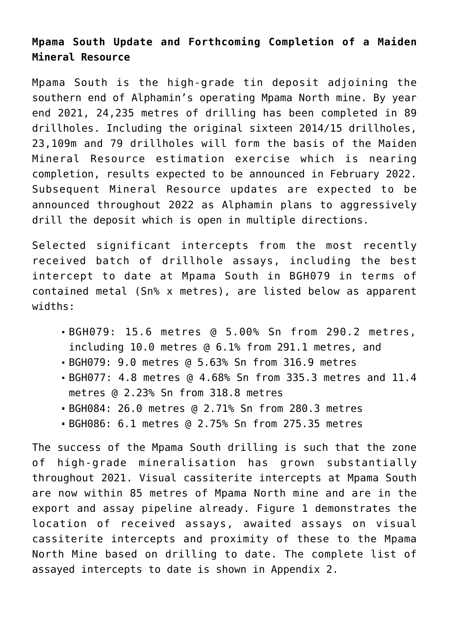# **Mpama South Update and Forthcoming Completion of a Maiden Mineral Resource**

Mpama South is the high-grade tin deposit adjoining the southern end of Alphamin's operating Mpama North mine. By year end 2021, 24,235 metres of drilling has been completed in 89 drillholes. Including the original sixteen 2014/15 drillholes, 23,109m and 79 drillholes will form the basis of the Maiden Mineral Resource estimation exercise which is nearing completion, results expected to be announced in February 2022. Subsequent Mineral Resource updates are expected to be announced throughout 2022 as Alphamin plans to aggressively drill the deposit which is open in multiple directions.

Selected significant intercepts from the most recently received batch of drillhole assays, including the best intercept to date at Mpama South in BGH079 in terms of contained metal (Sn% x metres), are listed below as apparent widths:

- BGH079: 15.6 metres @ 5.00% Sn from 290.2 metres, including 10.0 metres @ 6.1% from 291.1 metres, and
- BGH079: 9.0 metres @ 5.63% Sn from 316.9 metres
- BGH077: 4.8 metres @ 4.68% Sn from 335.3 metres and 11.4 metres @ 2.23% Sn from 318.8 metres
- BGH084: 26.0 metres @ 2.71% Sn from 280.3 metres
- BGH086: 6.1 metres @ 2.75% Sn from 275.35 metres

The success of the Mpama South drilling is such that the zone of high-grade mineralisation has grown substantially throughout 2021. Visual cassiterite intercepts at Mpama South are now within 85 metres of Mpama North mine and are in the export and assay pipeline already. Figure 1 demonstrates the location of received assays, awaited assays on visual cassiterite intercepts and proximity of these to the Mpama North Mine based on drilling to date. The complete list of assayed intercepts to date is shown in Appendix 2.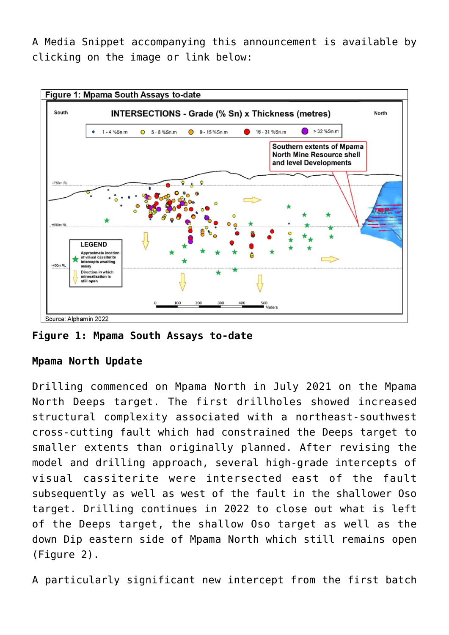[A Media Snippet accompanying this announcement is available by](https://www.globenewswire.com/Tracker?data=T7a7FtZOjYrT4XNhK4-F_evzq5eRsddT8oGvCo2Akp4z0pRfUt2qhGYYz_tZpwmLXoXc67_m4ilpPzuK5wAOYLgs9rAxGE5-ZTl9P4aInXymyR-d4iX8vnVMv8ifYVDq_5zzJzNNVOt8yoEG-FK_z3AAbEfXfIMHblI8r3N_4KOVFIRLvg3URAY8IW-7LBgCjF-LFDsmk7QjaAjV1DZHINZdHiqfvvLy3jHHQSsEgawMG0lo5R3Xf5WMO41vjDpX) [clicking on the image or link below:](https://www.globenewswire.com/Tracker?data=T7a7FtZOjYrT4XNhK4-F_evzq5eRsddT8oGvCo2Akp4z0pRfUt2qhGYYz_tZpwmLXoXc67_m4ilpPzuK5wAOYLgs9rAxGE5-ZTl9P4aInXymyR-d4iX8vnVMv8ifYVDq_5zzJzNNVOt8yoEG-FK_z3AAbEfXfIMHblI8r3N_4KOVFIRLvg3URAY8IW-7LBgCjF-LFDsmk7QjaAjV1DZHINZdHiqfvvLy3jHHQSsEgawMG0lo5R3Xf5WMO41vjDpX)



**Figure 1: Mpama South Assays to-date**

## **Mpama North Update**

Drilling commenced on Mpama North in July 2021 on the Mpama North Deeps target. The first drillholes showed increased structural complexity associated with a northeast-southwest cross-cutting fault which had constrained the Deeps target to smaller extents than originally planned. After revising the model and drilling approach, several high-grade intercepts of visual cassiterite were intersected east of the fault subsequently as well as west of the fault in the shallower Oso target. Drilling continues in 2022 to close out what is left of the Deeps target, the shallow Oso target as well as the down Dip eastern side of Mpama North which still remains open (Figure 2).

A particularly significant new intercept from the first batch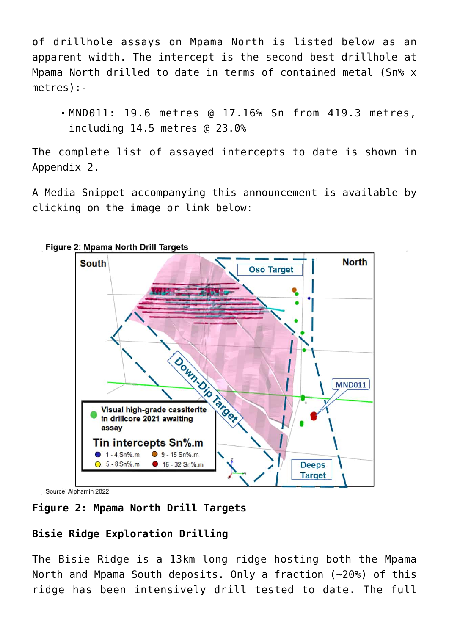of drillhole assays on Mpama North is listed below as an apparent width. The intercept is the second best drillhole at Mpama North drilled to date in terms of contained metal (Sn% x metres):-

MND011: 19.6 metres @ 17.16% Sn from 419.3 metres, including 14.5 metres @ 23.0%

The complete list of assayed intercepts to date is shown in Appendix 2.

[A Media Snippet accompanying this announcement is available by](https://www.globenewswire.com/Tracker?data=T7a7FtZOjYrT4XNhK4-F_evzq5eRsddT8oGvCo2Akp4z0pRfUt2qhGYYz_tZpwmLXoXc67_m4ilpPzuK5wAOYLgs9rAxGE5-ZTl9P4aInXymyR-d4iX8vnVMv8ifYVDqA5Jic1kBaRzq35d5eeHlmjE3q57JsRmwc_bbllAgcSetCQz3hoVVUsotwZf8ly4wKu_21i4MjcqRRfaPDT0Y4cMaqlo83iLVddWJAqh9-lR1PRe3Wio9VC6sfdJnVyrl) [clicking on the image or link below:](https://www.globenewswire.com/Tracker?data=T7a7FtZOjYrT4XNhK4-F_evzq5eRsddT8oGvCo2Akp4z0pRfUt2qhGYYz_tZpwmLXoXc67_m4ilpPzuK5wAOYLgs9rAxGE5-ZTl9P4aInXymyR-d4iX8vnVMv8ifYVDqA5Jic1kBaRzq35d5eeHlmjE3q57JsRmwc_bbllAgcSetCQz3hoVVUsotwZf8ly4wKu_21i4MjcqRRfaPDT0Y4cMaqlo83iLVddWJAqh9-lR1PRe3Wio9VC6sfdJnVyrl)

![](_page_3_Figure_4.jpeg)

**Figure 2: Mpama North Drill Targets**

# **Bisie Ridge Exploration Drilling**

The Bisie Ridge is a 13km long ridge hosting both the Mpama North and Mpama South deposits. Only a fraction (~20%) of this ridge has been intensively drill tested to date. The full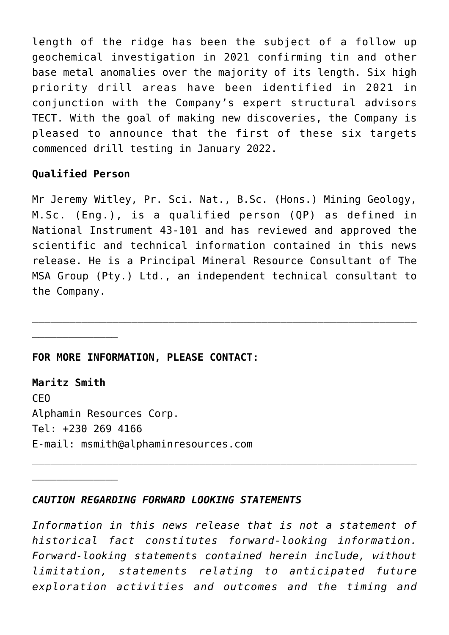length of the ridge has been the subject of a follow up geochemical investigation in 2021 confirming tin and other base metal anomalies over the majority of its length. Six high priority drill areas have been identified in 2021 in conjunction with the Company's expert structural advisors TECT. With the goal of making new discoveries, the Company is pleased to announce that the first of these six targets commenced drill testing in January 2022.

### **Qualified Person**

 $\overline{\phantom{a}}$  , where  $\overline{\phantom{a}}$ 

Mr Jeremy Witley, Pr. Sci. Nat., B.Sc. (Hons.) Mining Geology, M.Sc. (Eng.), is a qualified person (QP) as defined in National Instrument 43-101 and has reviewed and approved the scientific and technical information contained in this news release. He is a Principal Mineral Resource Consultant of The MSA Group (Pty.) Ltd., an independent technical consultant to the Company.

 $\_$  , and the contribution of the contribution of  $\mathcal{L}_1$  , and  $\mathcal{L}_2$  , and  $\mathcal{L}_3$  , and  $\mathcal{L}_4$  , and  $\mathcal{L}_5$  , and  $\mathcal{L}_6$  , and  $\mathcal{L}_7$  , and  $\mathcal{L}_8$  , and  $\mathcal{L}_7$  , and  $\mathcal{L}_8$  , and  $\mathcal{L}_9$  ,

### **FOR MORE INFORMATION, PLEASE CONTACT:**

**Maritz Smith** CEO Alphamin Resources Corp. Tel: +230 269 4166 E-mail: msmith@alphaminresources.com

### *CAUTION REGARDING FORWARD LOOKING STATEMENTS*

*Information in this news release that is not a statement of historical fact constitutes forward-looking information. Forward-looking statements contained herein include, without limitation, statements relating to anticipated future exploration activities and outcomes and the timing and*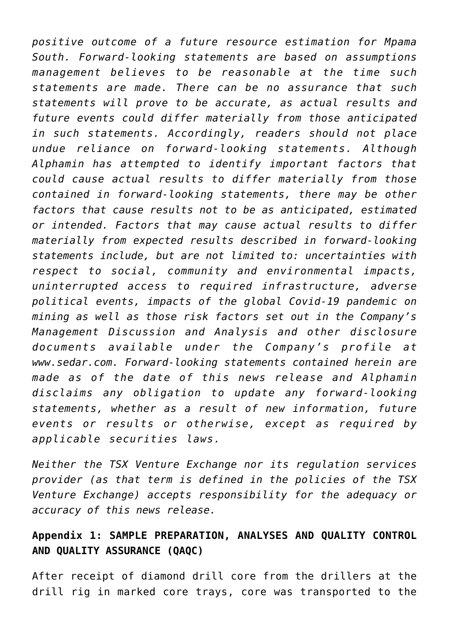*positive outcome of a future resource estimation for Mpama South. Forward-looking statements are based on assumptions management believes to be reasonable at the time such statements are made. There can be no assurance that such statements will prove to be accurate, as actual results and future events could differ materially from those anticipated in such statements. Accordingly, readers should not place undue reliance on forward-looking statements. Although Alphamin has attempted to identify important factors that could cause actual results to differ materially from those contained in forward-looking statements, there may be other factors that cause results not to be as anticipated, estimated or intended. Factors that may cause actual results to differ materially from expected results described in forward-looking statements include, but are not limited to: uncertainties with respect to social, community and environmental impacts, uninterrupted access to required infrastructure, adverse political events, impacts of the global Covid-19 pandemic on mining as well as those risk factors set out in the Company's Management Discussion and Analysis and other disclosure documents available under the Company's profile at www.sedar.com. Forward-looking statements contained herein are made as of the date of this news release and Alphamin disclaims any obligation to update any forward-looking statements, whether as a result of new information, future events or results or otherwise, except as required by applicable securities laws.*

*Neither the TSX Venture Exchange nor its regulation services provider (as that term is defined in the policies of the TSX Venture Exchange) accepts responsibility for the adequacy or accuracy of this news release.*

## **Appendix 1: SAMPLE PREPARATION, ANALYSES AND QUALITY CONTROL AND QUALITY ASSURANCE (QAQC)**

After receipt of diamond drill core from the drillers at the drill rig in marked core trays, core was transported to the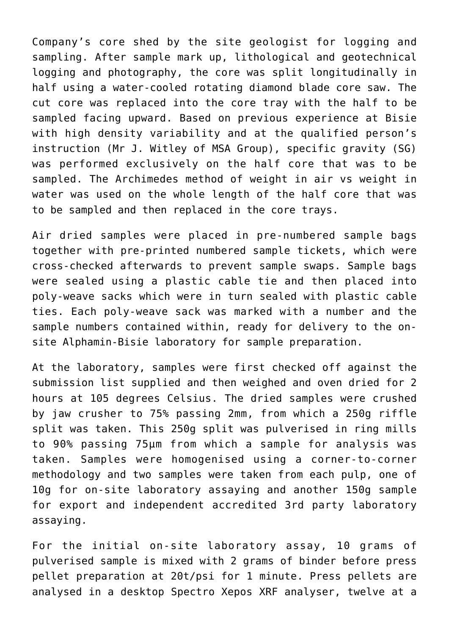Company's core shed by the site geologist for logging and sampling. After sample mark up, lithological and geotechnical logging and photography, the core was split longitudinally in half using a water-cooled rotating diamond blade core saw. The cut core was replaced into the core tray with the half to be sampled facing upward. Based on previous experience at Bisie with high density variability and at the qualified person's instruction (Mr J. Witley of MSA Group), specific gravity (SG) was performed exclusively on the half core that was to be sampled. The Archimedes method of weight in air vs weight in water was used on the whole length of the half core that was to be sampled and then replaced in the core trays.

Air dried samples were placed in pre-numbered sample bags together with pre-printed numbered sample tickets, which were cross-checked afterwards to prevent sample swaps. Sample bags were sealed using a plastic cable tie and then placed into poly-weave sacks which were in turn sealed with plastic cable ties. Each poly-weave sack was marked with a number and the sample numbers contained within, ready for delivery to the onsite Alphamin-Bisie laboratory for sample preparation.

At the laboratory, samples were first checked off against the submission list supplied and then weighed and oven dried for 2 hours at 105 degrees Celsius. The dried samples were crushed by jaw crusher to 75% passing 2mm, from which a 250g riffle split was taken. This 250g split was pulverised in ring mills to 90% passing 75μm from which a sample for analysis was taken. Samples were homogenised using a corner-to-corner methodology and two samples were taken from each pulp, one of 10g for on-site laboratory assaying and another 150g sample for export and independent accredited 3rd party laboratory assaying.

For the initial on-site laboratory assay, 10 grams of pulverised sample is mixed with 2 grams of binder before press pellet preparation at 20t/psi for 1 minute. Press pellets are analysed in a desktop Spectro Xepos XRF analyser, twelve at a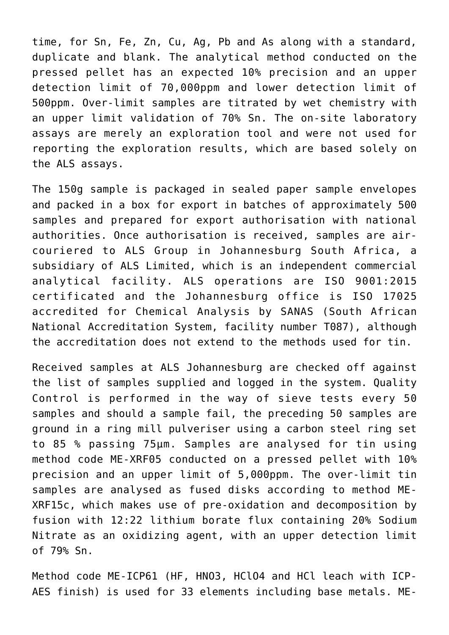time, for Sn, Fe, Zn, Cu, Ag, Pb and As along with a standard, duplicate and blank. The analytical method conducted on the pressed pellet has an expected 10% precision and an upper detection limit of 70,000ppm and lower detection limit of 500ppm. Over-limit samples are titrated by wet chemistry with an upper limit validation of 70% Sn. The on-site laboratory assays are merely an exploration tool and were not used for reporting the exploration results, which are based solely on the ALS assays.

The 150g sample is packaged in sealed paper sample envelopes and packed in a box for export in batches of approximately 500 samples and prepared for export authorisation with national authorities. Once authorisation is received, samples are aircouriered to ALS Group in Johannesburg South Africa, a subsidiary of ALS Limited, which is an independent commercial analytical facility. ALS operations are ISO 9001:2015 certificated and the Johannesburg office is ISO 17025 accredited for Chemical Analysis by SANAS (South African National Accreditation System, facility number T087), although the accreditation does not extend to the methods used for tin.

Received samples at ALS Johannesburg are checked off against the list of samples supplied and logged in the system. Quality Control is performed in the way of sieve tests every 50 samples and should a sample fail, the preceding 50 samples are ground in a ring mill pulveriser using a carbon steel ring set to 85 % passing 75μm. Samples are analysed for tin using method code ME-XRF05 conducted on a pressed pellet with 10% precision and an upper limit of 5,000ppm. The over-limit tin samples are analysed as fused disks according to method ME-XRF15c, which makes use of pre-oxidation and decomposition by fusion with 12:22 lithium borate flux containing 20% Sodium Nitrate as an oxidizing agent, with an upper detection limit of 79% Sn.

Method code ME-ICP61 (HF, HNO3, HClO4 and HCl leach with ICP-AES finish) is used for 33 elements including base metals. ME-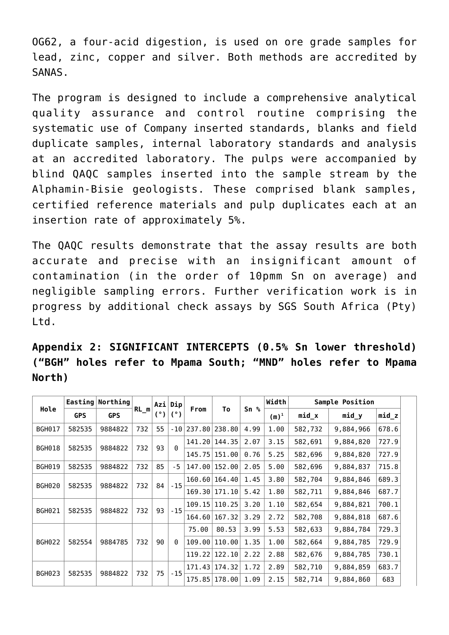OG62, a four-acid digestion, is used on ore grade samples for lead, zinc, copper and silver. Both methods are accredited by SANAS.

The program is designed to include a comprehensive analytical quality assurance and control routine comprising the systematic use of Company inserted standards, blanks and field duplicate samples, internal laboratory standards and analysis at an accredited laboratory. The pulps were accompanied by blind QAQC samples inserted into the sample stream by the Alphamin-Bisie geologists. These comprised blank samples, certified reference materials and pulp duplicates each at an insertion rate of approximately 5%.

The QAQC results demonstrate that the assay results are both accurate and precise with an insignificant amount of contamination (in the order of 10pmm Sn on average) and negligible sampling errors. Further verification work is in progress by additional check assays by SGS South Africa (Pty) Ltd.

**Appendix 2: SIGNIFICANT INTERCEPTS (0.5% Sn lower threshold) ("BGH" holes refer to Mpama South; "MND" holes refer to Mpama North)**

|               |                | Easting Northing |        |        | Azi Dip  | To<br>From |                 | Width           | Sample Position |         |           |         |
|---------------|----------------|------------------|--------|--------|----------|------------|-----------------|-----------------|-----------------|---------|-----------|---------|
| Hole          | <b>GPS</b>     | <b>GPS</b>       | $RL_m$ | (°)    | (°)      |            |                 | Sn <sub>8</sub> | $(m)^1$         | $mid_x$ | $mid_y$   | $mid_z$ |
| <b>BGH017</b> | 582535         | 9884822          | 732    | 55     | - 10     | 237.80     | 238.80          | 4.99            | 1.00            | 582,732 | 9,884,966 | 678.6   |
|               |                |                  | 732    |        | $\Theta$ |            | 141.20   144.35 | 2.07            | 3.15            | 582,691 | 9,884,820 | 727.9   |
| <b>BGH018</b> | 582535         | 9884822          |        | 93     |          | 145.75     | 151.00          | 0.76            | 5.25            | 582,696 | 9,884,820 | 727.9   |
| <b>BGH019</b> | 582535         | 9884822          | 732    | 85     | $-5$     | 147.00     | 152.00          | 2.05            | 5.00            | 582,696 | 9,884,837 | 715.8   |
| <b>BGH020</b> | 582535         | 9884822          | 732    | 84     | $-15$    |            | 160.60   164.40 | 1.45            | 3.80            | 582,704 | 9,884,846 | 689.3   |
|               |                |                  |        |        |          | 169.30     | 171.10          | 5.42            | 1.80            | 582,711 | 9,884,846 | 687.7   |
| <b>BGH021</b> | 732<br>9884822 |                  |        | 109.15 | 110.25   | 3.20       | 1.10            | 582,654         | 9,884,821       | 700.1   |           |         |
|               | 582535         |                  |        | 93     | $-15$    | 164.60     | 167.32          | 3.29            | 2.72            | 582,708 | 9,884,818 | 687.6   |
|               |                |                  |        |        |          | 75.00      | 80.53           | 3.99            | 5.53            | 582,633 | 9,884,784 | 729.3   |
| <b>BGH022</b> | 582554         | 9884785          | 732    | 90     | $\Theta$ | 109.00     | 110.00          | 1.35            | 1.00            | 582,664 | 9,884,785 | 729.9   |
|               |                |                  |        |        |          | 119.22     | 122.10          | 2.22            | 2.88            | 582,676 | 9,884,785 | 730.1   |
| <b>BGH023</b> | 582535         | 9884822          |        | 75     | $-15$    |            | 171.43   174.32 | 1.72            | 2.89            | 582,710 | 9,884,859 | 683.7   |
|               |                |                  | 732    |        |          | 175.85     | 178.00          | 1.09            | 2.15            | 582,714 | 9,884,860 | 683     |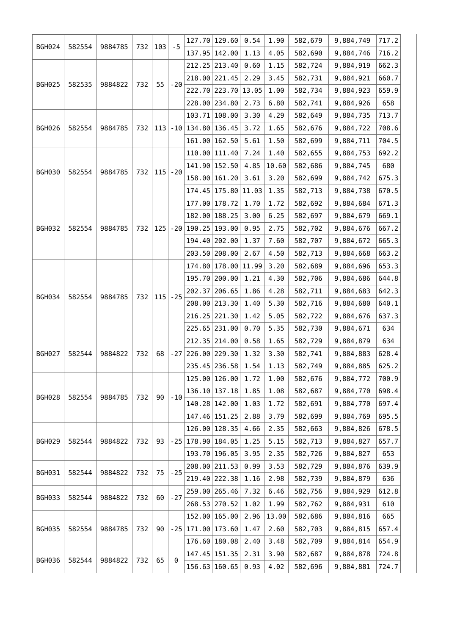|               |        |         |     |     |        |                     | 127.70 129.60 | 0.54  | 1.90    | 582,679   | 9,884,749 | 717.2 |
|---------------|--------|---------|-----|-----|--------|---------------------|---------------|-------|---------|-----------|-----------|-------|
| <b>BGH024</b> | 582554 | 9884785 | 732 | 103 | $-5$   | 137.95              | 142.00        | 1.13  | 4.05    | 582,690   | 9,884,746 | 716.2 |
|               |        |         |     |     |        | 212.25              | 213.40        | 0.60  | 1.15    | 582,724   | 9,884,919 | 662.3 |
|               |        |         |     |     |        |                     | 218.00 221.45 | 2.29  | 3.45    | 582,731   | 9,884,921 | 660.7 |
| <b>BGH025</b> | 582535 | 9884822 | 732 | 55  | $-20$  | 222.70              | 223.70        | 13.05 | 1.00    | 582,734   | 9,884,923 | 659.9 |
|               |        |         |     |     |        |                     | 228.00 234.80 | 2.73  | 6.80    | 582,741   | 9,884,926 | 658   |
|               |        |         |     |     |        | 103.71              | 108.00        | 3.30  | 4.29    | 582,649   | 9,884,735 | 713.7 |
| <b>BGH026</b> | 582554 | 9884785 | 732 | 113 |        | $-10$   134.80      | 136.45        | 3.72  | 1.65    | 582,676   | 9,884,722 | 708.6 |
|               |        |         |     |     |        | 161.00              | 162.50        | 5.61  | 1.50    | 582,699   | 9,884,711 | 704.5 |
|               |        |         |     |     |        | 110.00              | 111.40        | 7.24  | 1.40    | 582,655   | 9,884,753 | 692.2 |
|               |        |         |     |     |        |                     | 141.90 152.50 | 4.85  | 10.60   | 582,686   | 9,884,745 | 680   |
| <b>BGH030</b> | 582554 | 9884785 | 732 | 115 | $-20$  | 158.00              | 161.20        | 3.61  | 3.20    | 582,699   | 9,884,742 | 675.3 |
|               |        |         |     |     |        | 174.45              | 175.80        | 11.03 | 1.35    | 582,713   | 9,884,738 | 670.5 |
|               |        |         |     |     |        | 177.00              | 178.72        | 1.70  | 1.72    | 582,692   | 9,884,684 | 671.3 |
|               |        |         |     |     |        | 182.00              | 188.25        | 3.00  | 6.25    | 582,697   | 9,884,679 | 669.1 |
| <b>BGH032</b> | 582554 | 9884785 | 732 | 125 |        | $-20$   190.25      | 193.00        | 0.95  | 2.75    | 582,702   | 9,884,676 | 667.2 |
|               |        |         |     |     | 194.40 | 202.00              | 1.37          | 7.60  | 582,707 | 9,884,672 | 665.3     |       |
|               |        |         |     |     |        | 203.50              | 208.00        | 2.67  | 4.50    | 582,713   | 9,884,668 | 663.2 |
|               |        |         |     |     |        | 174.80              | 178.00        | 11.99 | 3.20    | 582,689   | 9,884,696 | 653.3 |
|               |        |         |     | 115 |        | 195.70              | 200.00        | 1.21  | 4.30    | 582,706   | 9,884,686 | 644.8 |
|               |        |         | 732 |     |        | 202.37              | 206.65        | 1.86  | 4.28    | 582,711   | 9,884,683 | 642.3 |
| <b>BGH034</b> | 582554 | 9884785 |     |     | $-25$  | 208.00              | 213.30        | 1.40  | 5.30    | 582,716   | 9,884,680 | 640.1 |
|               |        |         |     |     |        |                     | 216.25 221.30 | 1.42  | 5.05    | 582,722   | 9,884,676 | 637.3 |
|               |        |         |     |     |        |                     | 225.65 231.00 | 0.70  | 5.35    | 582,730   | 9,884,671 | 634   |
|               |        |         |     |     |        |                     | 212.35 214.00 | 0.58  | 1.65    | 582,729   | 9,884,879 | 634   |
| <b>BGH027</b> | 582544 | 9884822 | 732 | 68  |        | $-27$ 226.00 229.30 |               | 1.32  | 3.30    | 582,741   | 9,884,883 | 628.4 |
|               |        |         |     |     |        |                     | 235.45 236.58 | 1.54  | 1.13    | 582,749   | 9,884,885 | 625.2 |
|               |        |         |     |     |        | 125.00              | 126.00        | 1.72  | 1.00    | 582,676   | 9,884,772 | 700.9 |
|               | 582554 | 9884785 | 732 | 90  |        | 136.10              | 137.18        | 1.85  | 1.08    | 582,687   | 9,884,770 | 698.4 |
| <b>BGH028</b> |        |         |     |     | $-10$  | 140.28              | 142.00        | 1.03  | 1.72    | 582,691   | 9,884,770 | 697.4 |
|               |        |         |     |     |        | 147.46              | 151.25        | 2.88  | 3.79    | 582,699   | 9,884,769 | 695.5 |
|               |        |         |     |     |        | 126.00              | 128.35        | 4.66  | 2.35    | 582,663   | 9,884,826 | 678.5 |
| <b>BGH029</b> | 582544 | 9884822 | 732 | 93  |        | $-25$   178.90      | 184.05        | 1.25  | 5.15    | 582,713   | 9,884,827 | 657.7 |
|               |        |         |     |     |        | 193.70              | 196.05        | 3.95  | 2.35    | 582,726   | 9,884,827 | 653   |
|               |        |         |     |     | $-25$  | 208.00              | 211.53        | 0.99  | 3.53    | 582,729   | 9,884,876 | 639.9 |
| <b>BGH031</b> | 582544 | 9884822 | 732 | 75  |        |                     | 219.40 222.38 | 1.16  | 2.98    | 582,739   | 9,884,879 | 636   |
|               |        |         |     |     | $-27$  |                     | 259.00 265.46 | 7.32  | 6.46    | 582,756   | 9,884,929 | 612.8 |
| <b>BGH033</b> | 582544 | 9884822 | 732 | 60  |        | 268.53              | 270.52        | 1.02  | 1.99    | 582,762   | 9,884,931 | 610   |
|               |        |         |     |     |        | 152.00              | 165.00        | 2.96  | 13.00   | 582,686   | 9,884,816 | 665   |
| <b>BGH035</b> | 582554 | 9884785 | 732 | 90  |        | $-25$   171.00      | 173.60        | 1.47  | 2.60    | 582,703   | 9,884,815 | 657.4 |
|               |        |         |     |     |        | 176.60              | 180.08        | 2.40  | 3.48    | 582,709   | 9,884,814 | 654.9 |
|               |        |         |     |     |        | 147.45              | 151.35        | 2.31  | 3.90    | 582,687   | 9,884,878 | 724.8 |
| <b>BGH036</b> | 582544 | 9884822 | 732 | 65  | 0      | 156.63              | 160.65        | 0.93  | 4.02    | 582,696   | 9,884,881 | 724.7 |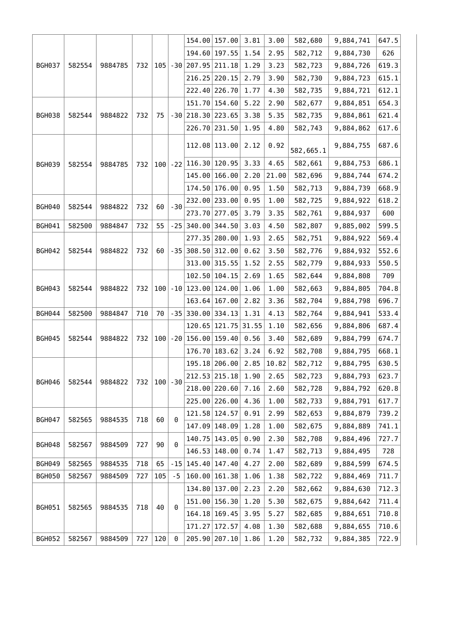|               |        |         |     |     |                |                         | 154.00 157.00   | 3.81  | 3.00  | 582,680   | 9,884,741 | 647.5 |
|---------------|--------|---------|-----|-----|----------------|-------------------------|-----------------|-------|-------|-----------|-----------|-------|
|               |        |         |     |     |                |                         | 194.60 197.55   | 1.54  | 2.95  | 582,712   | 9,884,730 | 626   |
| <b>BGH037</b> | 582554 | 9884785 | 732 | 105 |                | $-30 207.95 211.18$     |                 | 1.29  | 3.23  | 582,723   | 9,884,726 | 619.3 |
|               |        |         |     |     |                |                         | $216.25$ 220.15 | 2.79  | 3.90  | 582,730   | 9,884,723 | 615.1 |
|               |        |         |     |     |                |                         | 222.40 226.70   | 1.77  | 4.30  | 582,735   | 9,884,721 | 612.1 |
|               |        |         |     |     |                |                         | 151.70 154.60   | 5.22  | 2.90  | 582,677   | 9,884,851 | 654.3 |
| <b>BGH038</b> | 582544 | 9884822 | 732 | 75  |                | $-30$ 218.30 223.65     |                 | 3.38  | 5.35  | 582,735   | 9,884,861 | 621.4 |
|               |        |         |     |     |                |                         | 226.70 231.50   | 1.95  | 4.80  | 582,743   | 9,884,862 | 617.6 |
|               |        |         |     |     |                |                         | 112.08 113.00   | 2.12  | 0.92  | 582,665.1 | 9,884,755 | 687.6 |
| <b>BGH039</b> | 582554 | 9884785 | 732 | 100 |                | $-22$ 116.30 120.95     |                 | 3.33  | 4.65  | 582,661   | 9,884,753 | 686.1 |
|               |        |         |     |     |                |                         | 145.00 166.00   | 2.20  | 21.00 | 582,696   | 9,884,744 | 674.2 |
|               |        |         |     |     |                |                         | 174.50 176.00   | 0.95  | 1.50  | 582,713   | 9,884,739 | 668.9 |
| <b>BGH040</b> | 582544 | 9884822 | 732 | 60  | $-30$          |                         | 232.00 233.00   | 0.95  | 1.00  | 582,725   | 9,884,922 | 618.2 |
|               |        |         |     |     |                |                         | 273.70 277.05   | 3.79  | 3.35  | 582,761   | 9,884,937 | 600   |
| BGH041        | 582500 | 9884847 | 732 | 55  |                | $-25$ 340.00 344.50     |                 | 3.03  | 4.50  | 582,807   | 9,885,002 | 599.5 |
|               |        |         |     |     |                |                         | 277.35 280.00   | 1.93  | 2.65  | 582,751   | 9,884,922 | 569.4 |
| <b>BGH042</b> | 582544 | 9884822 | 732 | 60  |                | $-35$ 308.50 312.00     |                 | 0.62  | 3.50  | 582,776   | 9,884,932 | 552.6 |
|               |        |         |     |     |                |                         | 313.00 315.55   | 1.52  | 2.55  | 582,779   | 9,884,933 | 550.5 |
|               |        |         |     |     |                |                         | 102.50 104.15   | 2.69  | 1.65  | 582,644   | 9,884,808 | 709   |
| <b>BGH043</b> | 582544 | 9884822 | 732 | 100 |                | $-10$   123.00   124.00 |                 | 1.06  | 1.00  | 582,663   | 9,884,805 | 704.8 |
|               |        |         |     |     |                |                         | 163.64 167.00   | 2.82  | 3.36  | 582,704   | 9,884,798 | 696.7 |
| <b>BGH044</b> | 582500 | 9884847 | 710 | 70  |                | $-35$ 330.00 334.13     |                 | 1.31  | 4.13  | 582,764   | 9,884,941 | 533.4 |
|               |        |         |     |     |                |                         | 120.65   121.75 | 31.55 | 1.10  | 582,656   | 9,884,806 | 687.4 |
| <b>BGH045</b> | 582544 | 9884822 | 732 | 100 |                | $-20$ 156.00 159.40     |                 | 0.56  | 3.40  | 582,689   | 9,884,799 | 674.7 |
|               |        |         |     |     |                | 176.70                  | 183.62          | 3.24  | 6.92  | 582,708   | 9,884,795 | 668.1 |
|               |        |         |     |     |                |                         | 195.18 206.00   | 2.85  | 10.82 | 582,712   | 9,884,795 | 630.5 |
| <b>BGH046</b> | 582544 | 9884822 | 732 | 100 | $-30$          |                         | $212.53$ 215.18 | 1.90  | 2.65  | 582,723   | 9,884,793 | 623.7 |
|               |        |         |     |     |                |                         | 218.00 220.60   | 7.16  | 2.60  | 582,728   | 9,884,792 | 620.8 |
|               |        |         |     |     |                |                         | 225.00 226.00   | 4.36  | 1.00  | 582,733   | 9,884,791 | 617.7 |
| <b>BGH047</b> | 582565 | 9884535 | 718 | 60  | 0              |                         | 121.58 124.57   | 0.91  | 2.99  | 582,653   | 9,884,879 | 739.2 |
|               |        |         |     |     |                |                         | 147.09 148.09   | 1.28  | 1.00  | 582,675   | 9,884,889 | 741.1 |
| <b>BGH048</b> | 582567 | 9884509 | 727 | 90  | $\pmb{\Theta}$ |                         | 140.75 143.05   | 0.90  | 2.30  | 582,708   | 9,884,496 | 727.7 |
|               |        |         |     |     |                |                         | 146.53 148.00   | 0.74  | 1.47  | 582,713   | 9,884,495 | 728   |
| <b>BGH049</b> | 582565 | 9884535 | 718 | 65  |                | $-15$ 145.40 147.40     |                 | 4.27  | 2.00  | 582,689   | 9,884,599 | 674.5 |
| <b>BGH050</b> | 582567 | 9884509 | 727 | 105 | $-5$           |                         | 160.00 161.38   | 1.06  | 1.38  | 582,722   | 9,884,469 | 711.7 |
|               |        |         |     |     |                |                         | 134.80 137.00   | 2.23  | 2.20  | 582,662   | 9,884,630 | 712.3 |
| <b>BGH051</b> | 582565 | 9884535 | 718 | 40  | 0              |                         | 151.00 156.30   | 1.20  | 5.30  | 582,675   | 9,884,642 | 711.4 |
|               |        |         |     |     |                |                         | 164.18 169.45   | 3.95  | 5.27  | 582,685   | 9,884,651 | 710.8 |
|               |        |         |     |     |                | 171.27                  | 172.57          | 4.08  | 1.30  | 582,688   | 9,884,655 | 710.6 |
| <b>BGH052</b> | 582567 | 9884509 | 727 | 120 | $\pmb{\Theta}$ |                         | 205.90 207.10   | 1.86  | 1.20  | 582,732   | 9,884,385 | 722.9 |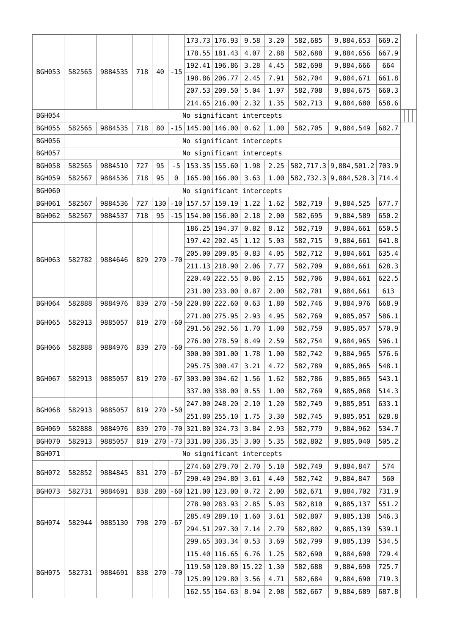| <b>BGH053</b><br><b>BGH054</b>     | 582565                    | 9884535 | 718        | 40         |            |               | 178.55   181.43           | 4.07 | 2.88    | 582,688   | 9,884,656             | 667.9 |  |
|------------------------------------|---------------------------|---------|------------|------------|------------|---------------|---------------------------|------|---------|-----------|-----------------------|-------|--|
|                                    |                           |         |            |            |            |               |                           |      |         |           |                       |       |  |
|                                    |                           |         |            |            | $-15$      |               | 192.41   196.86           | 3.28 | 4.45    | 582,698   | 9,884,666             | 664   |  |
|                                    |                           |         |            |            |            |               | 198.86 206.77             | 2.45 | 7.91    | 582,704   | 9,884,671             | 661.8 |  |
|                                    |                           |         |            |            |            |               | 207.53 209.50             | 5.04 | 1.97    | 582,708   | 9,884,675             | 660.3 |  |
|                                    |                           |         |            |            |            |               | 214.65 216.00             | 2.32 | 1.35    | 582,713   | 9,884,680             | 658.6 |  |
|                                    |                           |         |            |            |            |               | No significant intercepts |      |         |           |                       |       |  |
| <b>BGH055</b>                      | 582565                    | 9884535 | 718        | 80         |            |               | $-15$ 145.00 146.00       | 0.62 | 1.00    | 582,705   | 9,884,549             | 682.7 |  |
| <b>BGH056</b>                      |                           |         |            |            |            |               | No significant intercepts |      |         |           |                       |       |  |
| <b>BGH057</b>                      | No significant intercepts |         |            |            |            |               |                           |      |         |           |                       |       |  |
| <b>BGH058</b>                      | 582565                    | 9884510 | 727        | 95         | $-5$       |               | 153.35 155.60             | 1.98 | 2.25    |           | 582,717.3 9,884,501.2 | 703.9 |  |
| <b>BGH059</b>                      | 582567                    | 9884536 | 718        | 95         | 0          |               | 165.00 166.00             | 3.63 | 1.00    |           | 582,732.3 9,884,528.3 | 714.4 |  |
| <b>BGH060</b>                      | No significant intercepts |         |            |            |            |               |                           |      |         |           |                       |       |  |
| BGH061                             | 582567                    | 9884536 | 727        | 130        |            |               | $-10$   157.57   159.19   | 1.22 | 1.62    | 582,719   | 9,884,525             | 677.7 |  |
| <b>BGH062</b>                      | 582567                    | 9884537 | 718        | 95         |            |               | $-15$ 154.00 156.00       | 2.18 | 2.00    | 582,695   | 9,884,589             | 650.2 |  |
|                                    |                           |         |            |            |            |               | 186.25   194.37           | 0.82 | 8.12    | 582,719   | 9,884,661             | 650.5 |  |
|                                    |                           |         |            |            |            |               | 197.42 202.45             | 1.12 | 5.03    | 582,715   | 9,884,661             | 641.8 |  |
|                                    |                           |         |            |            |            |               | 205.00 209.05             | 0.83 | 4.05    | 582,712   | 9,884,661             | 635.4 |  |
| <b>BGH063</b><br>582782<br>9884646 |                           | 829     | $270$ - 70 |            |            | 211.13 218.90 | 2.06                      | 7.77 | 582,709 | 9,884,661 | 628.3                 |       |  |
|                                    |                           |         |            |            |            | 220.40 222.55 | 0.86                      | 2.15 | 582,706 | 9,884,661 | 622.5                 |       |  |
|                                    |                           |         |            |            |            |               | 231.00 233.00             | 0.87 | 2.00    | 582,701   | 9,884,661             | 613   |  |
| <b>BGH064</b>                      | 582888                    | 9884976 | 839        | 270        |            |               | $-50$ 220.80 222.60       | 0.63 | 1.80    | 582,746   | 9,884,976             | 668.9 |  |
|                                    |                           |         |            |            |            |               | 271.00 275.95             | 2.93 | 4.95    | 582,769   | 9,885,057             | 586.1 |  |
| <b>BGH065</b>                      | 582913                    | 9885057 | 819        | 270        | -60        |               | 291.56 292.56             | 1.70 | 1.00    | 582,759   | 9,885,057             | 570.9 |  |
|                                    |                           |         |            |            |            |               | 276.00 278.59             | 8.49 | 2.59    | 582,754   | 9,884,965             | 596.1 |  |
| <b>BGH066</b>                      | 582888                    | 9884976 | 839        | 270        | $-60$      |               | 300.00 301.00             | 1.78 | 1.00    | 582,742   | 9,884,965             | 576.6 |  |
|                                    |                           |         |            |            |            |               | 295.75 300.47             | 3.21 | 4.72    | 582,789   | 9,885,065             | 548.1 |  |
| <b>BGH067</b>                      | 582913                    | 9885057 | 819        |            |            |               | $270$ -67 303.00 304.62   | 1.56 | 1.62    | 582,786   | 9,885,065             | 543.1 |  |
|                                    |                           |         |            |            |            |               | 337.00 338.00             | 0.55 | 1.00    | 582,769   | 9,885,068             | 514.3 |  |
|                                    |                           |         |            |            |            |               | 247.00 248.20             | 2.10 | 1.20    | 582,749   | 9,885,051             | 633.1 |  |
| <b>BGH068</b>                      | 582913                    | 9885057 | 819        |            | $270$ - 50 |               | 251.80 255.10             | 1.75 | 3.30    | 582,745   | 9,885,051             | 628.8 |  |
| <b>BGH069</b>                      | 582888                    | 9884976 | 839        |            |            |               | 270 - 70 321.80 324.73    | 3.84 | 2.93    | 582,779   | 9,884,962             | 534.7 |  |
| <b>BGH070</b>                      | 582913                    | 9885057 | 819        |            |            |               | 270 - 73 331.00 336.35    | 3.00 | 5.35    | 582,802   | 9,885,040             | 505.2 |  |
| BGH071                             |                           |         |            |            |            |               | No significant intercepts |      |         |           |                       |       |  |
|                                    |                           |         |            |            |            |               | 274.60 279.70             | 2.70 | 5.10    | 582,749   | 9,884,847             | 574   |  |
| <b>BGH072</b>                      | 582852                    | 9884845 | 831        | 270        | $-67$      |               | 290.40 294.80             | 3.61 | 4.40    | 582,742   | 9,884,847             | 560   |  |
| BGH073                             | 582731                    | 9884691 | 838        | 280        |            |               | $-60$ 121.00 123.00       | 0.72 | 2.00    | 582,671   | 9,884,702             | 731.9 |  |
|                                    |                           |         |            |            |            |               | 278.90 283.93             | 2.85 | 5.03    | 582,810   | 9,885,137             | 551.2 |  |
|                                    |                           |         |            |            |            |               | 285.49 289.10             | 1.60 | 3.61    | 582,807   | 9,885,138             | 546.3 |  |
| BGH074                             | 582944                    | 9885130 | 798        | 270        | $-67$      |               | 294.51 297.30             | 7.14 | 2.79    | 582,802   | 9,885,139             | 539.1 |  |
|                                    |                           |         |            |            |            |               | 299.65 303.34             | 0.53 | 3.69    | 582,799   | 9,885,139             | 534.5 |  |
|                                    |                           |         |            |            |            |               | 115.40 116.65             | 6.76 | 1.25    | 582,690   | 9,884,690             | 729.4 |  |
|                                    |                           |         |            | $270$ - 70 |            |               | 119.50 120.80 15.22       |      | 1.30    | 582,688   | 9,884,690             | 725.7 |  |
| <b>BGH075</b>                      | 582731                    | 9884691 | 838        |            |            |               | 125.09 129.80             | 3.56 | 4.71    | 582,684   | 9,884,690             | 719.3 |  |
|                                    |                           |         |            |            |            | 162.55 164.63 | 8.94                      | 2.08 | 582,667 | 9,884,689 | 687.8                 |       |  |
|                                    |                           |         |            |            |            |               |                           |      |         |           |                       |       |  |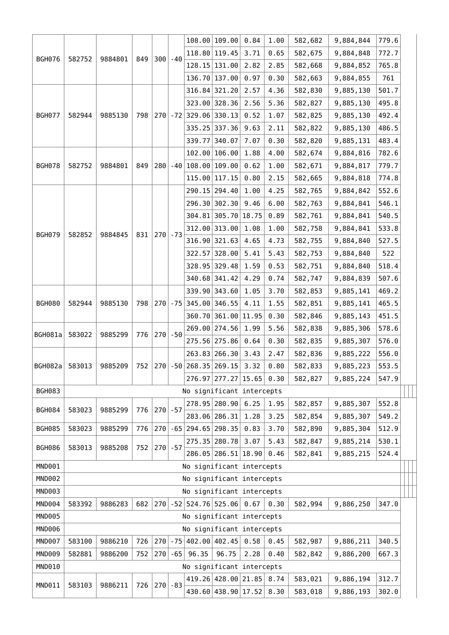|               |                   |         |     |            |            |                                                    | 108.00 109.00             | 0.84  | 1.00    | 582,682   | 9,884,844 | 779.6 |  |
|---------------|-------------------|---------|-----|------------|------------|----------------------------------------------------|---------------------------|-------|---------|-----------|-----------|-------|--|
|               |                   |         |     |            |            |                                                    | 118.80 119.45             | 3.71  | 0.65    | 582,675   | 9,884,848 | 772.7 |  |
| <b>BGH076</b> | 582752            | 9884801 | 849 | 300        | $-40$      |                                                    | 128.15 131.00             | 2.82  | 2.85    | 582,668   | 9,884,852 | 765.8 |  |
|               |                   |         |     |            |            |                                                    | 136.70 137.00             | 0.97  | 0.30    | 582,663   | 9,884,855 | 761   |  |
|               |                   |         |     |            |            |                                                    | 316.84 321.20             | 2.57  | 4.36    | 582,830   | 9,885,130 | 501.7 |  |
|               |                   |         |     |            |            |                                                    | 323.00 328.36             | 2.56  | 5.36    | 582,827   | 9,885,130 | 495.8 |  |
| <b>BGH077</b> | 582944            | 9885130 | 798 |            |            | $\vert 270 \vert$ - 72 $\vert 329.06 \vert 330.13$ |                           | 0.52  | 1.07    | 582,825   | 9,885,130 | 492.4 |  |
|               |                   |         |     |            |            | 335.25 337.36                                      | 9.63                      | 2.11  | 582,822 | 9,885,130 | 486.5     |       |  |
|               |                   |         |     |            |            |                                                    | 339.77 340.07             | 7.07  | 0.30    | 582,820   | 9,885,131 | 483.4 |  |
|               |                   |         |     |            |            |                                                    | 102.00 106.00             | 1.88  | 4.00    | 582,674   | 9,884,816 | 782.6 |  |
| <b>BGH078</b> | 582752            | 9884801 | 849 |            | $280$ -40  |                                                    | 108.00 109.00             | 0.62  | 1.00    | 582,671   | 9,884,817 | 779.7 |  |
|               |                   |         |     |            |            |                                                    | 115.00 117.15             | 0.80  | 2.15    | 582,665   | 9,884,818 | 774.8 |  |
|               |                   |         |     |            |            |                                                    | 290.15 294.40             | 1.00  | 4.25    | 582,765   | 9,884,842 | 552.6 |  |
|               |                   |         |     |            |            |                                                    | 296.30 302.30             | 9.46  | 6.00    | 582,763   | 9,884,841 | 546.1 |  |
|               |                   |         |     |            |            |                                                    | 304.81 305.70             | 18.75 | 0.89    | 582,761   | 9,884,841 | 540.5 |  |
|               |                   |         |     | $270$ - 73 |            |                                                    | 312.00 313.00             | 1.08  | 1.00    | 582,758   | 9,884,841 | 533.8 |  |
| <b>BGH079</b> | 582852            | 9884845 | 831 |            |            |                                                    | 316.90 321.63             | 4.65  | 4.73    | 582,755   | 9,884,840 | 527.5 |  |
|               |                   |         |     |            |            | 322.57 328.00                                      | 5.41                      | 5.43  | 582,753 | 9,884,840 | 522       |       |  |
|               |                   |         |     |            |            |                                                    | 328.95 329.48             | 1.59  | 0.53    | 582,751   | 9,884,840 | 518.4 |  |
|               |                   |         |     |            |            | 340.68 341.42                                      | 4.29                      | 0.74  | 582,747 | 9,884,839 | 507.6     |       |  |
|               |                   |         |     |            |            |                                                    | 339.90 343.60             | 1.05  | 3.70    | 582,853   | 9,885,141 | 469.2 |  |
| <b>BGH080</b> | 582944<br>9885130 | 798     |     |            |            | $270$ - 75 345.00 346.55                           | 4.11                      | 1.55  | 582,851 | 9,885,141 | 465.5     |       |  |
|               |                   |         |     |            |            |                                                    | 360.70 361.00             | 11.95 | 0.30    | 582,846   | 9,885,143 | 451.5 |  |
|               |                   |         |     |            |            |                                                    | 269.00 274.56             | 1.99  | 5.56    | 582,838   | 9,885,306 | 578.6 |  |
| BGH081a       | 583022            | 9885299 | 776 |            | $270$ - 50 |                                                    | 275.56 275.86             | 0.64  | 0.30    | 582,835   | 9,885,307 | 576.0 |  |
|               |                   |         |     |            |            |                                                    | 263.83 266.30             | 3.43  | 2.47    | 582,836   | 9,885,222 | 556.0 |  |
| BGH082a       | 583013            | 9885209 | 752 |            |            |                                                    | $270$ - 50 268.35 269.15  | 3.32  | 0.80    | 582,833   | 9,885,223 | 553.5 |  |
|               |                   |         |     |            |            |                                                    | 276.97 277.27 15.65       |       | 0.30    | 582,827   | 9,885,224 | 547.9 |  |
| <b>BGH083</b> |                   |         |     |            |            |                                                    | No significant intercepts |       |         |           |           |       |  |
|               |                   |         |     |            |            |                                                    | 278.95 280.90             | 6.25  | 1.95    | 582,857   | 9,885,307 | 552.8 |  |
| <b>BGH084</b> | 583023            | 9885299 | 776 | $270$ - 57 |            |                                                    | 283.06 286.31             | 1.28  | 3.25    | 582,854   | 9,885,307 | 549.2 |  |
| <b>BGH085</b> | 583023            | 9885299 | 776 | 270        |            |                                                    | $-65$ 294.65 298.35       | 0.83  | 3.70    | 582,890   | 9,885,304 | 512.9 |  |
|               |                   |         |     |            |            |                                                    | 275.35 280.78             | 3.07  | 5.43    | 582,847   | 9,885,214 | 530.1 |  |
| <b>BGH086</b> | 583013            | 9885208 | 752 |            | $270$ - 57 |                                                    | 286.05 286.51 18.90       |       | 0.46    | 582,841   | 9,885,215 | 524.4 |  |
| MND001        |                   |         |     |            |            |                                                    | No significant intercepts |       |         |           |           |       |  |
| MND002        |                   |         |     |            |            |                                                    | No significant intercepts |       |         |           |           |       |  |
| MND003        |                   |         |     |            |            |                                                    | No significant intercepts |       |         |           |           |       |  |
| MND004        | 583392            | 9886283 | 682 |            |            |                                                    | 270 - 52 524.76 525.06    | 0.67  | 0.30    | 582,994   | 9,886,250 | 347.0 |  |
| <b>MND005</b> |                   |         |     |            |            |                                                    | No significant intercepts |       |         |           |           |       |  |
| MND006        |                   |         |     |            |            |                                                    | No significant intercepts |       |         |           |           |       |  |
| MND007        | 583100            | 9886210 | 726 | 270        |            |                                                    | $-75$ 402.00 402.45       | 0.58  | 0.45    | 582,987   | 9,886,211 | 340.5 |  |
| MND009        | 582881            | 9886200 | 752 |            | $270$ - 65 | 96.35                                              | 96.75                     | 2.28  | 0.40    | 582,842   | 9,886,200 | 667.3 |  |
| MND010        |                   |         |     |            |            |                                                    | No significant intercepts |       |         |           |           |       |  |
|               |                   |         |     |            |            |                                                    | 419.26 428.00 21.85       |       | 8.74    | 583,021   | 9,886,194 | 312.7 |  |
| MND011        | 583103            | 9886211 | 726 | $270$ - 83 |            |                                                    | 430.60 438.90 17.52       |       | 8.30    | 583,018   | 9,886,193 | 302.0 |  |
|               |                   |         |     |            |            |                                                    |                           |       |         |           |           |       |  |